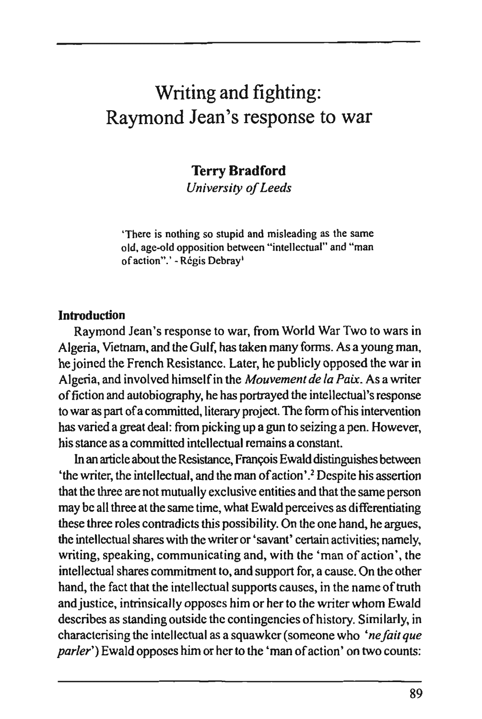# Writing and fighting: Raymond Jean's response to war

# **Terry Bradford**

*University of Leeds* 

'There is nothing so stupid and misleading as the same old. age-old opposition between "intellectual" and "man of action".' - Régis Debray<sup>1</sup>

#### Introduction

Raymond Jean's response to war, from World War Two to wars in Algeria, Vietnam, and the Gulf, has taken many forms. As a young man, he joined the French Resistance. Later, he publicly opposed the war in Algeria, and involved himself in the *Mouvement de la Paix.* As a writer of fiction and autobiography, he has portrayed the intellectual's response to war as part of a committed, literary project. The form ofhis intervention has varied a great deal: from picking up a gun to seizing a pen. However, his stance as a committed intellectual remains a constant.

In an article about the Resistance, François Ewald distinguishes between 'the writer, the intellectual, and the man of action'.2 Despite his assertion that the three are not mutually exclusive entities and that the same person may be all three at the same time, what Ewald perceives as differentiating these three roles contradicts this possibility. On the one hand, he argues, the intellectual shares with the writer or 'savant' certain activities; namely, writing, speaking, communicating and, with the 'man of action', the intellectual shares commitment to, and support for, a cause. On the other hand, the fact that the intellectual supports causes, in the name of truth and justice, intrinsically opposes him or her to the writer whom Ewald describes as standing outside the contingencies of history. Similarly, in characterising the intellectual as a squawker (someone who *'ne fait que parier")* Ewald opposes him or her to the 'man of action' on two counts: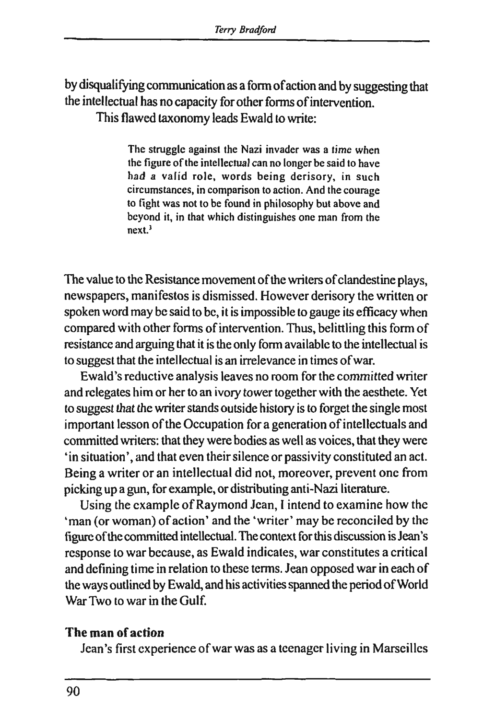by disqualifying communication as a form of action and by suggesting that the intellectual has no capacity for other forms of intervention. This flawed taxonomy leads Ewald to write:

> The struggle against the Nazi invader was a time when the figure of the intellectual can no longer be said to have had a valid role, words being derisory, in such circumstances, in comparison to action. And the courage to fight was not to be found in philosophy but above and beyond it, in that which distinguishes one man from the next.3

The value to the Resistance movement of the writers of clandestine plays, newspapers, manifestos is dismissed. However derisory the written or spoken word may be said to be, it is impossible to gauge its efficacy when compared with other forms of intervention. Thus, belittling this form of resistance and arguing that it is the only form available to the intellectual is to suggest that the intellectual is an irrelevance in times of war.

Ewald's reductive analysis leaves no room for the committed writer and relegates him or her to an ivory tower together with the aesthete. Yet to suggest that the writer stands outside history is to forget the single most important lesson of the Occupation for a generation of intellectuals and committed writers: that they were bodies as well as voices, that they were 'in situation', and that even their silence or passivity constituted an act. Being a writer or an intellectual did not, moreover, prevent one from picking up a gun, for example, or distributing anti-Nazi literature.

Using the example of Raymond Jean, I intend to examine how the 'man (or woman) of action' and the 'writer' may be reconciled by the figure of the committed intellectual. The context for this discussion is Jean's response to war because, as Ewald indicates, war constitutes a critical and defining time in relation to these terms. Jean opposed war in each of the ways oudined by Ewald, and his activities spanned the period of World War Two to war in the Gulf.

## The man of action

Jean's first experience of war was as a teenager living in Marseilles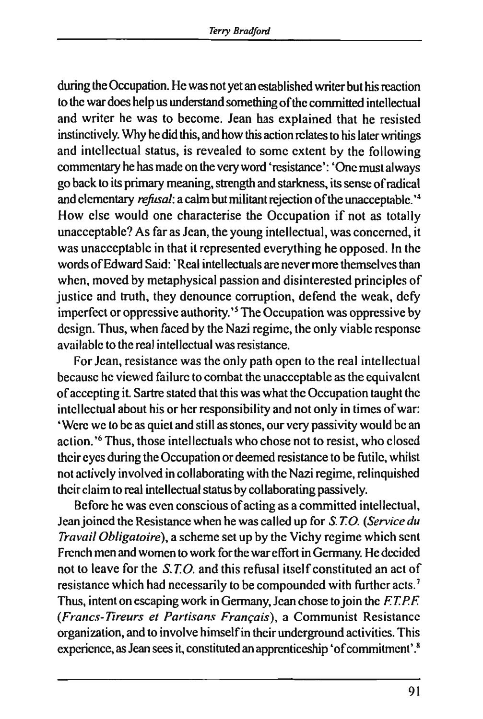during the Occupation. He was not yet an established writer but his reaction to the war does help us understand something of the committed intellectual and writer he was to become. Jean has explained that he resisted instinctively. Why he did this, and how this action relates to his later writings and intellectual status, is revealed to some extent by the following commentary he has made on the very word 'resistance': 'One must always go back to its primary meaning, strength and starkness, its sense of radical and elementary *refusal:* a calm but militant rejection of the unacceptable. '<sup>4</sup> How else would one characterise the Occupation if not as totally unacceptable? As far as Jean, the young intellectual, was concerned, it was unacceptable in that it represented everything he opposed. In the words of Edward Said: ' Real intellectuals are never more themselves than when, moved by metaphysical passion and disinterested principles of justice and truth, they denounce corruption, defend the weak, defy imperfect or oppressive authority.'<sup>5</sup> The Occupation was oppressive by design. Thus, when faced by the Nazi regime, the only viable response available to the real intellectual was resistance.

For Jean, resistance was the only path open to the real intellectual because he viewed failure to combat the unacceptable as the equivalent of accepting it. Sartre stated that this was what the Occupation taught the intellectual about his or her responsibility and not only in times of war: ' Were we to be as quiet and still as stones, our very passivity would be an action.'<sup>6</sup> Thus, those intellectuals who chose not to resist, who closed their eyes during the Occupation or deemed resistance to be futile, whilst not actively involved in collaborating with the Nazi regime, relinquished their claim to real intellectual status by collaborating passively.

Before he was even conscious of acting as a committed intellectual, Jean joined the Resistance when he was called up for *S. TO. {Service du Travail Obligatoire),* a scheme set up by the Vichy regime which sent French men and women to work for the war effort in Germany. He decided not to leave for the *S.T.O.* and this refusal itself constituted an act of resistance which had necessarily to be compounded with further acts.<sup>7</sup> Thus, intent on escaping work in Germany, Jean chose to join the *F.T.P.F. {Francs-Tireurs et Partisans Français),* a Communist Resistance organization, and to involve himself in their underground activities. This experience, as Jean sees it, constituted an apprenticeship 'of commitment'.8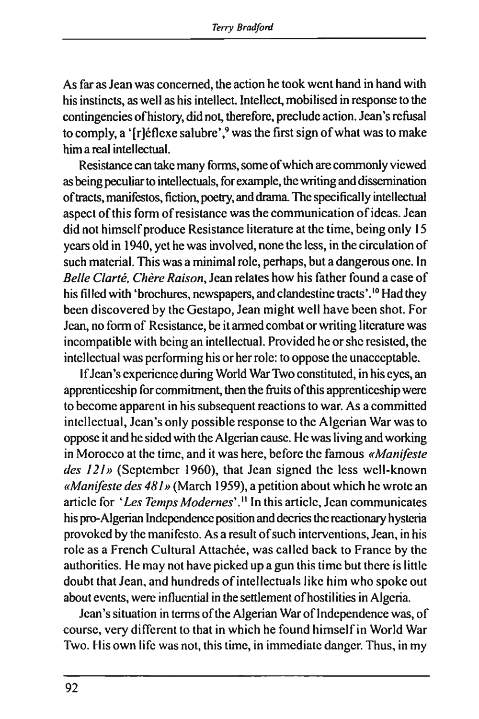As far as Jean was concerned, the action he took went hand in hand with his instincts, as well as his intellect. Intellect, mobilised in response to the contingencies of history, did not, therefore, preclude action. Jean's refusal to comply, a '[r]éflexe salubre',<sup>9</sup> was the first sign of what was to make him a real intellectual.

Resistance can take many forms, some of which are commonly viewed as being peculiar to intellectuals, for example, the writing and dissemination of tracts, manifestos, fiction, poetry, and drama. The specifically intellectual aspect of this form of resistance was the communication of ideas. Jean did not himself produce Resistance literature at the time, being only 15 years old in 1940, yet he was involved, none the less, in the circulation of such material. This was a minimal role, perhaps, but a dangerous one. In *Belle Clarté, Chère Raison,* Jean relates how his father found a case of his filled with 'brochures, newspapers, and clandestine tracts'.<sup>10</sup> Had they been discovered by the Gestapo, Jean might well have been shot. For Jean, no form of Resistance, be it armed combat or writing literature was incompatible with being an intellectual. Provided he or she resisted, the intellectual was performing his or her role: to oppose the unacceptable.

If Jean's experience during World War Two constituted, in his eyes, an apprenticeship for commitment, then the fruits of this apprenticeship were to become apparent in his subsequent reactions to war. As a committed intellectual, Jean's only possible response to the Algerian War was to oppose it and he sided with the Algerian cause. He was living and working in Morocco at the time, and it was here, before the famous *«Manifeste*  des 121» (September 1960), that Jean signed the less well-known *«Manifeste des 481»* (March 1959), a petition about which he wrote an article for *'Les Temps Modernes'."* In this article, Jean communicates his pro-Algerian Independence position and decries the reactionary hysteria provoked by the manifesto. As a result of such interventions, Jean, in his role as a French Cultural Attachée, was called back to France by the authorities. He may not have picked up a gun this time but there is little doubt that Jean, and hundreds of intellectuals like him who spoke out about events, were influential in the settlement of hostilities in Algeria.

Jean's situation in terms of the Algerian War of Independence was, of course, very différent to that in which he found himself in World War Two. His own life was not, this time, in immediate danger. Thus, in my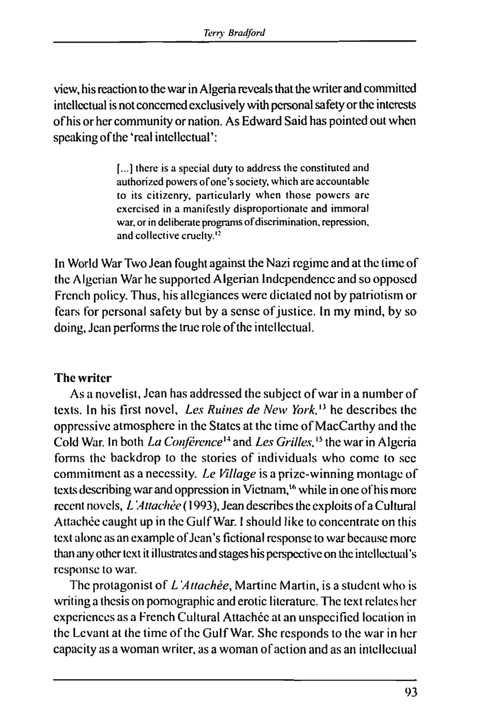view, his reaction to the war in Algeria reveals that the writer and committed intellectual is not concerned exclusively with personal safety or the interests ofhis or her community or nation. As Edward Said has pointed out when speaking of the 'real intellectual':

> [...] there is a special duty to address the constituted and authorized powers of one's society, which are accountable to its citizenry, particularly when those powers are exercised in a manifestly disproportionate and immoral war, or in deliberate programs of discrimination, repression, and collective cruelty.<sup>12</sup>

In World War Two Jean fought against the Nazi regime and at the time of the Algerian War he supported Algerian Independence and so opposed French policy. Thus, his allegiances were dictated not by patriotism or fears for personal safety but by a sense of justice. In my mind, by so doing, Jean performs the true role of the intellectual.

#### The writer

As a novelist, Jean has addressed the subject of war in a number of texts. In his first novel. *Les Ruines de New York.'\** he describes the oppressive atmosphere in the States at the time of MacCarthy and the Cold War. In both *La Conférence"* and *Les Grilles.*15 the war in Algeria forms the backdrop to the stories of individuals who come to sec commitment as a necessity. *Le Village* is a prize-winning montage of texts describing war and oppression in Vietnam,<sup>16</sup> while in one of his more recent novels, *L'Attachée* ( 1993), Jean describes the exploits of a Cultural Attachée caught up in the Gulf War. I should like to concentrate on this text alone as an example of Jean's fictional response to war because more than any other text it illustrates and stages his perspective on the intellectual's response to war.

The protagonist of *L'Attachée,* Martine Martin, is a student who is writing a thesis on pornographic and erotic literature. The text relates her experiences as a French Cultural Attachée at an unspecified location in the Levant at the time of the Gulf War. She responds to the war in her capacity as a woman writer, as a woman of action and as an intellectual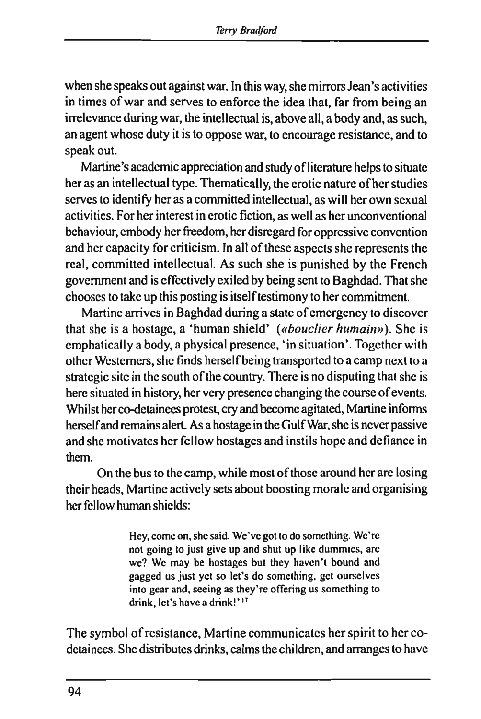when she speaks out against war. In this way, she mirrors Jean's activities in times of war and serves to enforce the idea that, far from being an irrelevance during war, the intellectual is, above all, a body and, as such, an agent whose duty it is to oppose war, to encourage resistance, and to speak out.

Martine's academic appreciation and study of literature helps to situate her as an intellectual type. Thematically, the erotic nature of her studies serves to identify her as a committed intellectual, as will her own sexual activities. For her interest in erotic fiction, as well as her unconventional behaviour, embody her freedom, her disregard for oppressive convention and her capacity for criticism. In all of these aspects she represents the real, committed intellectual. As such she is punished by the French government and is effectively exiled by being sent to Baghdad. That she chooses to take up this posting is itself testimony to her commitment.

Martine arrives in Baghdad during a state of emergency to discover that she is a hostage, a 'human shield' *(«bouclier humain»).* She is emphatically a body, a physical presence, 'in situation'. Together with other Westerners, she finds herself being transported to a camp next to a strategic site in the south of the country. There is no disputing that she is here situated in history, her very presence changing the course of events. Whilst her co-detainees protest, cry and become agitated, Martine informs herself and remains alert. As a hostage in the Gulf War, she is never passive and she motivates her fellow hostages and instils hope and defiance in them.

On the bus to the camp, while most of those around her are losing their heads, Martine actively sets about boosting morale and organising her fellow human shields:

> Hey. come on, she said. We've got to do something. We're not going to just give up and shut up like dummies, are we? We may be hostages but they haven't bound and gagged us just yet so let's do something, get ourselves into gear and. seeing as they're offering us something to drink, let's have a drink!'<sup>17</sup>

The symbol of resistance, Martine communicates her spirit to her codetainees. She distributes drinks, calms the children, and arranges to have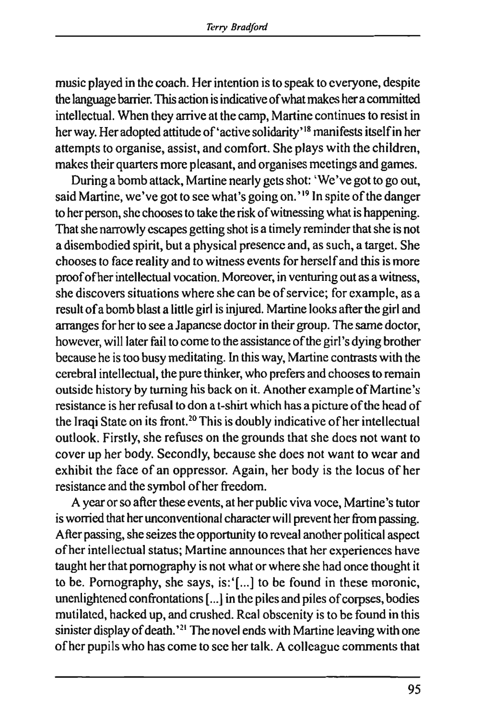music played in the coach. Her intention is to speak to everyone, despite the language barrier. This action is indicative of what makes her a committed intellectual. When they arrive at the camp, Martine continues to resist in her way. Her adopted attitude of'active solidarity'18 manifests itself in her attempts to organise, assist, and comfort. She plays with the children, makes their quarters more pleasant, and organises meetings and games.

During a bomb attack, Martine nearly gets shot: 'We've got to go out, said Martine, we've got to see what's going on.<sup>'19</sup> In spite of the danger to her person, she chooses to take the risk of witnessing what is happening. That she narrowly escapes getting shot is a timely reminder that she is not a disembodied spirit, but a physical presence and, as such, a target. She chooses to face reality and to witness events for herself and this is more proof ofher intellectual vocation. Moreover, in venturing out as a witness, she discovers situations where she can be of service; for example, as a result of a bomb blast a little girl is injured. Martine looks after the girl and arranges for her to see a Japanese doctor in their group. The same doctor, however, will later fail to come to the assistance of the girl's dying brother because he is too busy meditating. In this way, Martine contrasts with the cerebral intellectual, the pure thinker, who prefers and chooses to remain outside history by turning his back on it. Another example of Martine's resistance is her refusal to don a t-shirt which has a picture of the head of the Iraqi State on its front.<sup>20</sup> This is doubly indicative of her intellectual outlook. Firstly, she refuses on the grounds that she does not want to cover up her body. Secondly, because she does not want to wear and exhibit the face of an oppressor. Again, her body is the locus of her resistance and the symbol of her freedom.

A year or so after these events, at her public viva voce, Martine's tutor is worried that her unconventional character will prevent her from passing. After passing, she seizes the opportunity to reveal another political aspect ofher intellectual status; Martine announces that her experiences have taught her that pornography is not what or where she had once thought it to be. Pomography, she says, is:'[...] to be found in these moronic, unenlightened confrontations [...] in the piles and piles of corpses, bodies mutilated, hacked up, and crushed. Real obscenity is to be found in this sinister display of death.'<sup>21</sup> The novel ends with Martine leaving with one ofher pupils who has come to see her talk. A colleague comments that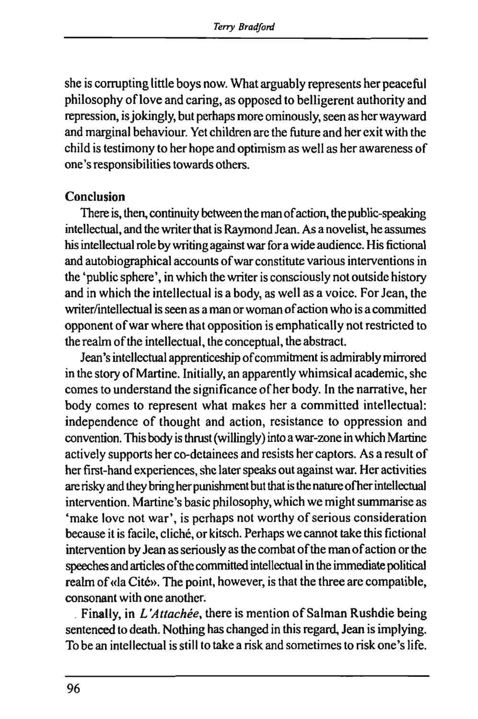she is corrupting little boys now. What arguably represents her peaceful philosophy of love and caring, as opposed to belligerent authority and repression, is jokingly, but perhaps more ominously, seen as her wayward and marginal behaviour. Yet children are the future and her exit with the child is testimony to her hope and optimism as well as her awareness of one's responsibilities towards others.

#### **Conclusion**

There is, then, continuity between the man of action, the public-speaking intellectual, and the writer that is Raymond Jean. As a novelist, he assumes his intellectual role by writing against war for a wide audience. His fictional and autobiographical accounts of war constitute various interventions in the 'public sphere', in which the writer is consciously not outside history and in which the intellectual is a body, as well as a voice. For Jean, the writer/intellectual is seen as a man or woman of action who is a committed opponent of war where that opposition is emphatically not restricted to the realm of the intellectual, the conceptual, the abstract.

Jean's intellectual apprenticeship of commitment is admirably mirrored in the story of Martine. Initially, an apparently whimsical academic, she comes to understand the significance ofher body. In the narrative, her body comes to represent what makes her a committed intellectual: independence of thought and action, resistance to oppression and convention. This body is thrust (willingly) into a war-zone in which Martine actively supports her co-detainees and resists her captors. As a result of her first-hand experiences, she later speaks out against war. Her activities are risky and they bring her punishment but that is the nature ofher intellectual intervention. Martine's basic philosophy, which we might summarise as 'make love not war', is perhaps not worthy of serious consideration because it is facile, cliché, or kitsch. Perhaps we cannot take this fictional intervention by Jean as seriously as the combat of the man of action or the speeches and articles of the committed intellectual in the immediate political realm of «la Cité». The point, however, is that the three are compatible, consonant with one another.

Finally, in *L'Attachée,* there is mention of Salman Rushdie being sentenced to death. Nothing has changed in this regard, Jean is implying. To be an intellectual is still to take a risk and sometimes to risk one's life.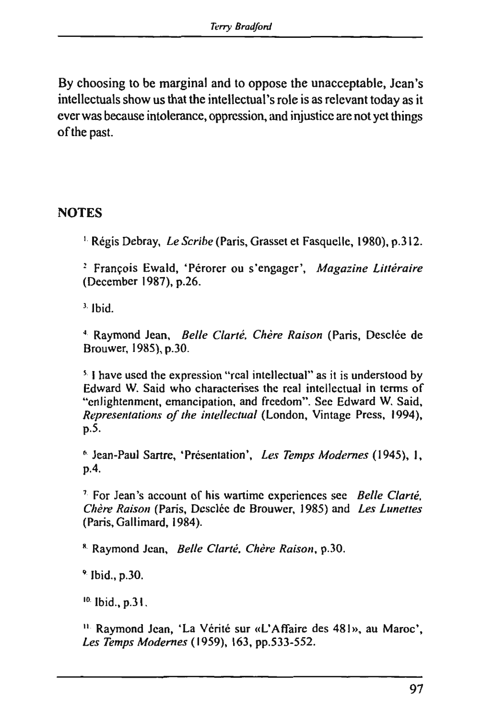By choosing to be marginal and to oppose the unacceptable, Jean's intellectuals show us that the intellectual's role is as relevant today as it ever was because intolerance, oppression, and injustice are not yet things of the past.

## **NOTES**

<sup>1.</sup> Régis Debray, Le Scribe (Paris, Grasset et Fasquelle, 1980), p.312.

2 François Ewald, 'Pérorer ou s'engager', *Magazine Littéraire*  (December 1987), p.26.

 $3.$  Ibid.

<sup>4</sup> Raymond Jean, Belle Clarté, Chère Raison (Paris, Desclée de Brouwer, 1985),p.30.

 $5.$  I have used the expression "real intellectual" as it is understood by Edward W. Said who characterises the real intellectual in terms of "enlightenment, emancipation, and freedom". See Edward W. Said, *Representations of the intellectual* (London, Vintage Press, 1994), p.5.

6 Jean-Paul Sartre, 'Présentation', *Les Temps Modernes* (1945), 1, p.4.

7 For Jean's account of his wartime experiences see *Belle Clarté. Chère Raison* (Paris, Dcsclée de Brouwer, 1985) and *Les Lunettes*  (Paris, Gallimard, 1984).

8 Raymond Jean, *Belle Clarté. Chère Raison,* p.30.

9 Ibid., p.30.

 $10.$  Ibid., p.31.

11 Raymond Jean, 'La Vérité sur «L'Affaire des 481», au Maroc', *Les Temps Modernes* (1959), 163, pp.533-552.